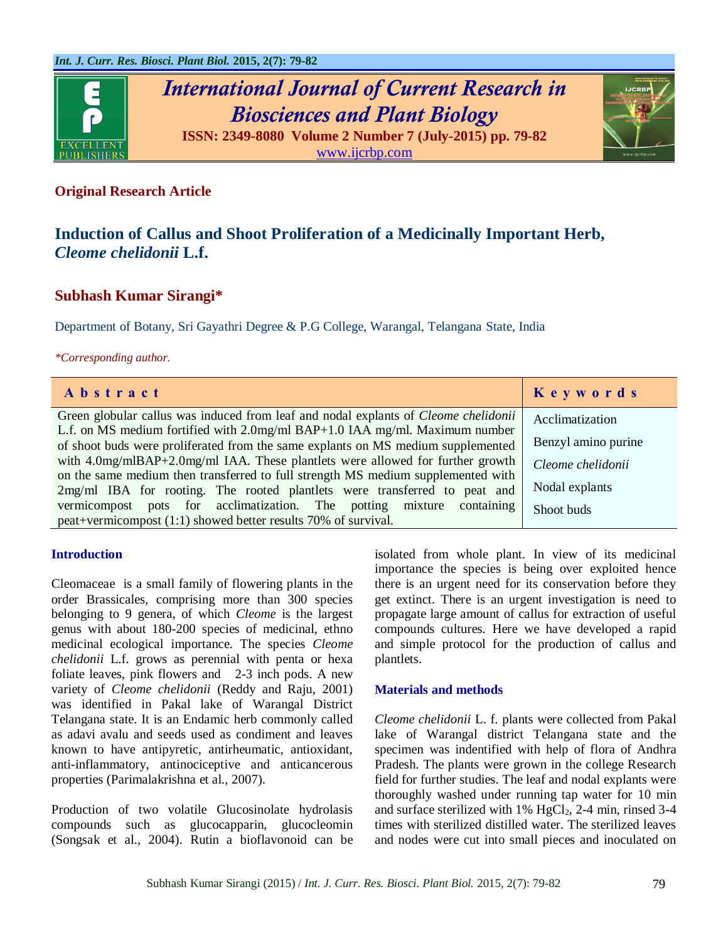

# *International Journal of Current Research in Biosciences and Plant Biology*



**ISSN: 2349-8080 Volume 2 Number 7 (July-2015) pp. 79-82** [www.ijcrbp.com](http://www.ijcrbp.com/)

### **Original Research Article**

# **Induction of Callus and Shoot Proliferation of a Medicinally Important Herb,**  *Cleome chelidonii* **L.f.**

## **Subhash Kumar Sirangi\***

Department of Botany, Sri Gayathri Degree & P.G College, Warangal, Telangana State, India

#### *\*Corresponding author.*

| Abstract                                                                                   | Keywords            |
|--------------------------------------------------------------------------------------------|---------------------|
| Green globular callus was induced from leaf and nodal explants of <i>Cleome chelidonii</i> | Acclimatization     |
| L.f. on MS medium fortified with 2.0mg/ml BAP+1.0 IAA mg/ml. Maximum number                |                     |
| of shoot buds were proliferated from the same explants on MS medium supplemented           | Benzyl amino purine |
| with 4.0mg/mlBAP+2.0mg/ml IAA. These plantlets were allowed for further growth             | Cleome chelidonii   |
| on the same medium then transferred to full strength MS medium supplemented with           |                     |
| 2mg/ml IBA for rooting. The rooted plantlets were transferred to peat and                  | Nodal explants      |
| vermicompost pots for acclimatization. The potting mixture containing                      | Shoot buds          |
| peat+vermicompost (1:1) showed better results 70% of survival.                             |                     |

#### **Introduction**

Cleomaceae is a small family of flowering plants in the order Brassicales, comprising more than 300 species belonging to 9 genera, of which *Cleome* is the largest genus with about 180-200 species of medicinal, ethno medicinal ecological importance. The species *Cleome chelidonii* L.f. grows as perennial with penta or hexa foliate leaves, pink flowers and 2-3 inch pods. A new variety of *Cleome chelidonii* (Reddy and Raju, 2001) was identified in Pakal lake of Warangal District Telangana state. It is an Endamic herb commonly called as adavi avalu and seeds used as condiment and leaves known to have antipyretic, antirheumatic, antioxidant, anti-inflammatory, antinociceptive and anticancerous properties (Parimalakrishna et al., 2007).

Production of two volatile Glucosinolate hydrolasis compounds such as glucocapparin, glucocleomin (Songsak et al., 2004). Rutin a bioflavonoid can be isolated from whole plant. In view of its medicinal importance the species is being over exploited hence there is an urgent need for its conservation before they get extinct. There is an urgent investigation is need to propagate large amount of callus for extraction of useful compounds cultures. Here we have developed a rapid and simple protocol for the production of callus and plantlets.

#### **Materials and methods**

*Cleome chelidonii* L. f. plants were collected from Pakal lake of Warangal district Telangana state and the specimen was indentified with help of flora of Andhra Pradesh. The plants were grown in the college Research field for further studies. The leaf and nodal explants were thoroughly washed under running tap water for 10 min and surface sterilized with  $1\%$  HgCl<sub>2</sub>, 2-4 min, rinsed 3-4 times with sterilized distilled water. The sterilized leaves and nodes were cut into small pieces and inoculated on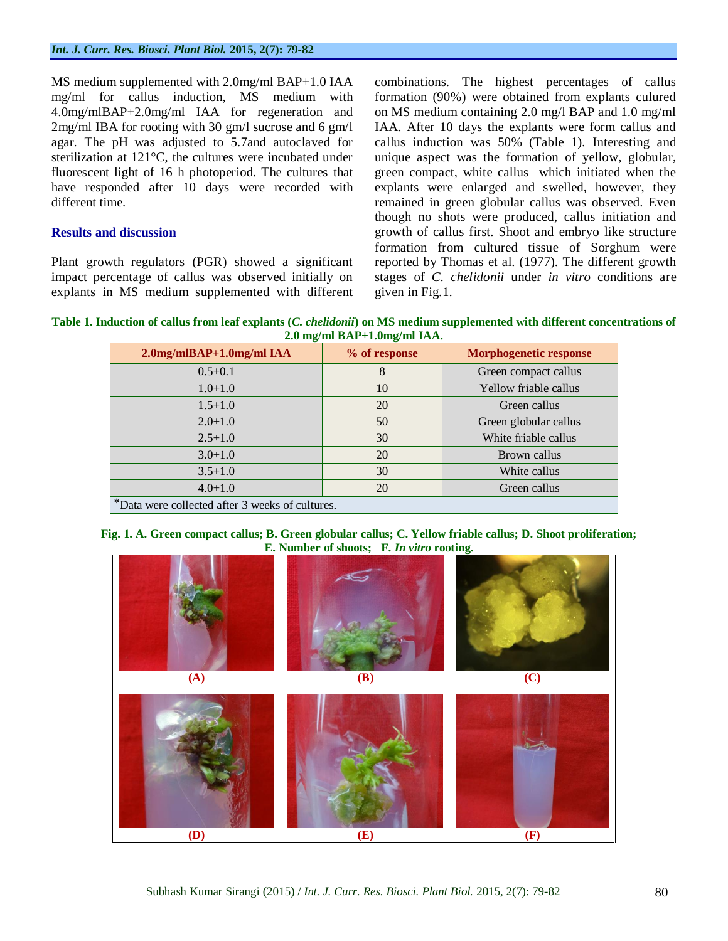MS medium supplemented with 2.0mg/ml BAP+1.0 IAA mg/ml for callus induction, MS medium with 4.0mg/mlBAP+2.0mg/ml IAA for regeneration and 2mg/ml IBA for rooting with 30 gm/l sucrose and 6 gm/l agar. The pH was adjusted to 5.7and autoclaved for sterilization at 121°C, the cultures were incubated under fluorescent light of 16 h photoperiod. The cultures that have responded after 10 days were recorded with different time.

#### **Results and discussion**

Plant growth regulators (PGR) showed a significant impact percentage of callus was observed initially on explants in MS medium supplemented with different combinations. The highest percentages of callus formation (90%) were obtained from explants culured on MS medium containing 2.0 mg/l BAP and 1.0 mg/ml IAA. After 10 days the explants were form callus and callus induction was 50% (Table 1). Interesting and unique aspect was the formation of yellow, globular, green compact, white callus which initiated when the explants were enlarged and swelled, however, they remained in green globular callus was observed. Even though no shots were produced, callus initiation and growth of callus first. Shoot and embryo like structure formation from cultured tissue of Sorghum were reported by Thomas et al. (1977). The different growth stages of *C. chelidonii* under *in vitro* conditions are given in Fig.1.

**Table 1. Induction of callus from leaf explants (***C. chelidonii***) on MS medium supplemented with different concentrations of 2.0 mg/ml BAP+1.0mg/ml IAA.**

| $2.0$ mg/mlBAP+1.0mg/ml IAA                     | % of response | <b>Morphogenetic response</b> |  |  |  |
|-------------------------------------------------|---------------|-------------------------------|--|--|--|
| $0.5 + 0.1$                                     | 8             | Green compact callus          |  |  |  |
| $1.0 + 1.0$                                     | 10            | Yellow friable callus         |  |  |  |
| $1.5 + 1.0$                                     | 20            | Green callus                  |  |  |  |
| $2.0 + 1.0$                                     | 50            | Green globular callus         |  |  |  |
| $2.5 + 1.0$                                     | 30            | White friable callus          |  |  |  |
| $3.0 + 1.0$                                     | 20            | Brown callus                  |  |  |  |
| $3.5 + 1.0$                                     | 30            | White callus                  |  |  |  |
| $4.0 + 1.0$                                     | 20            | Green callus                  |  |  |  |
| *Data were collected after 3 weeks of cultures. |               |                               |  |  |  |



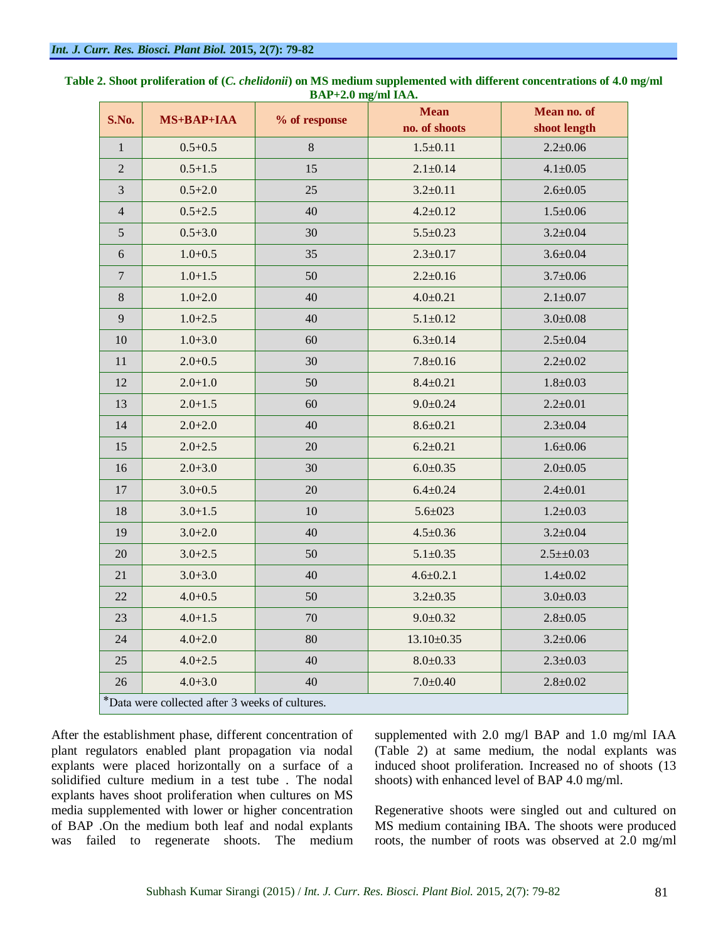| S.No.                                           | MS+BAP+IAA  | % of response | <b>Mean</b><br>no. of shoots | Mean no. of<br>shoot length |  |
|-------------------------------------------------|-------------|---------------|------------------------------|-----------------------------|--|
| $\mathbf{1}$                                    | $0.5 + 0.5$ | 8             | $1.5 \pm 0.11$               | $2.2 \pm 0.06$              |  |
| $\overline{2}$                                  | $0.5 + 1.5$ | 15            | $2.1 \pm 0.14$               | $4.1 \pm 0.05$              |  |
| 3                                               | $0.5 + 2.0$ |               | $3.2 \pm 0.11$               | $2.6 \pm 0.05$              |  |
|                                                 |             | 25<br>40      |                              |                             |  |
| $\overline{4}$                                  | $0.5 + 2.5$ |               | $4.2 \pm 0.12$               | $1.5 \pm 0.06$              |  |
| 5                                               | $0.5 + 3.0$ | 30            | $5.5 \pm 0.23$               | $3.2 \pm 0.04$              |  |
| 6                                               | $1.0 + 0.5$ | 35            | $2.3 \pm 0.17$               | $3.6 \pm 0.04$              |  |
| $\boldsymbol{7}$                                | $1.0 + 1.5$ | 50            | $2.2 \pm 0.16$               | $3.7 \pm 0.06$              |  |
| $8\,$                                           | $1.0 + 2.0$ | 40            | $4.0 \pm 0.21$               | $2.1 \pm 0.07$              |  |
| 9                                               | $1.0 + 2.5$ | 40            | $5.1 \pm 0.12$               | $3.0 \pm 0.08$              |  |
| $10\,$                                          | $1.0 + 3.0$ | 60            | $6.3 \pm 0.14$               | $2.5 \pm 0.04$              |  |
| 11                                              | $2.0 + 0.5$ | 30            | $7.8 \pm 0.16$               | $2.2 \pm 0.02$              |  |
| 12                                              | $2.0 + 1.0$ | 50            | $8.4 \pm 0.21$               | $1.8 + 0.03$                |  |
| 13                                              | $2.0 + 1.5$ | 60            | $9.0 \pm 0.24$               | $2.2 \pm 0.01$              |  |
| 14                                              | $2.0 + 2.0$ | 40            | $8.6 \pm 0.21$               | $2.3 \pm 0.04$              |  |
| 15                                              | $2.0 + 2.5$ | 20            | $6.2 \pm 0.21$               | $1.6 + 0.06$                |  |
| 16                                              | $2.0 + 3.0$ | 30            | $6.0 \pm 0.35$               | $2.0 \pm 0.05$              |  |
| $17\,$                                          | $3.0 + 0.5$ | 20            | $6.4 \pm 0.24$               | $2.4 \pm 0.01$              |  |
| 18                                              | $3.0 + 1.5$ | 10            | $5.6 \pm 0.23$               | $1.2 \pm 0.03$              |  |
| 19                                              | $3.0 + 2.0$ | 40            | $4.5 \pm 0.36$               | $3.2 \pm 0.04$              |  |
| $20\,$                                          | $3.0 + 2.5$ | 50            | $5.1 \pm 0.35$               | $2.5 \pm 0.03$              |  |
| 21                                              | $3.0 + 3.0$ | 40            | $4.6 \pm 0.2.1$              | $1.4 \pm 0.02$              |  |
| 22                                              | $4.0 + 0.5$ | 50            | $3.2 \pm 0.35$               | $3.0 \pm 0.03$              |  |
| 23                                              | $4.0 + 1.5$ | 70            | $9.0 \pm 0.32$               | $2.8 \pm 0.05$              |  |
| 24                                              | $4.0 + 2.0$ | 80            | $13.10 \pm 0.35$             | $3.2 \pm 0.06$              |  |
| 25                                              | $4.0 + 2.5$ | 40            | $8.0 \pm 0.33$               | $2.3 \pm 0.03$              |  |
| 26                                              | $4.0 + 3.0$ | 40            | $7.0 \pm 0.40$               | $2.8 + 0.02$                |  |
| *Data were collected after 3 weeks of cultures. |             |               |                              |                             |  |

**Table 2. Shoot proliferation of (***C. chelidonii***) on MS medium supplemented with different concentrations of 4.0 mg/ml BAP+2.0 mg/ml IAA.**

After the establishment phase, different concentration of plant regulators enabled plant propagation via nodal explants were placed horizontally on a surface of a solidified culture medium in a test tube . The nodal explants haves shoot proliferation when cultures on MS media supplemented with lower or higher concentration of BAP .On the medium both leaf and nodal explants was failed to regenerate shoots. The medium

supplemented with 2.0 mg/l BAP and 1.0 mg/ml IAA (Table 2) at same medium, the nodal explants was induced shoot proliferation. Increased no of shoots (13 shoots) with enhanced level of BAP 4.0 mg/ml.

Regenerative shoots were singled out and cultured on MS medium containing IBA. The shoots were produced roots, the number of roots was observed at 2.0 mg/ml